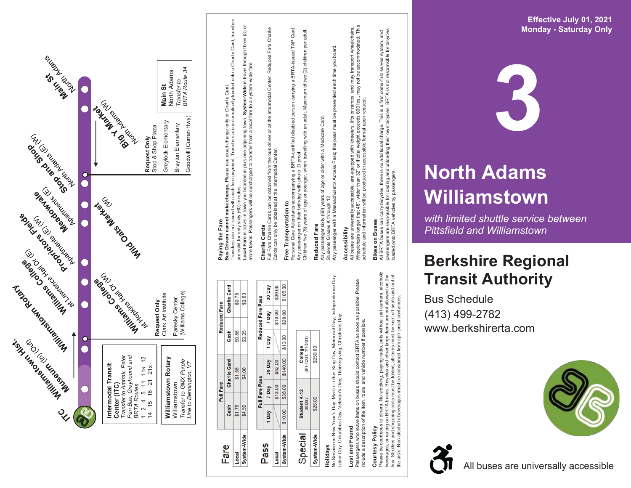

Pass

Local

Fare Local

Passengers who leave items on buses should contact BRTA as soon as possible. Please Passengers who leave items on buses should contact BRTA as soon as possible.<br>include a description of the item, route, and vehicle number if possible. Lost and Found **Lost and Found**

## Courtesy Policy **Courtesy Policy**

Please be courteous to others. No smoking, playing radio, pets without pet carriers, alcoholic<br>beverages, or eating on BRTA buses. Bicycles and other large items are not allowed on the<br>bus. Strollers and shopping carts mus Please be courteous to others. No smoking, playing radio, pets without pet carriers, alcoholic bus. Strollers and shopping carts must be folded, all items must be kept off seats and out of beverages, or eating on BRTA buses. Bicycles and other large items are not allowed on the the aisle. Non-alcoholic beverages must be consumed from spill-proof containers.

All BRTA buses can carry bicycles; there is no additional charge. This is a first come-first served system, and passengers are responsible for loading and unloading their own bicycles. BRTA is not responsible for bicycles

loaded onto BRTA vehicles by passengers.



# **North Ad ams W ill i a mstown**

*with limi ted s huttle service betwe en Pittsfiel d and Willia mstown*

### **Berkshire Regional T ransit Au t hority**

Bu s S c hedule (413) 4 9 9 -2782 www.berkshirerta.com